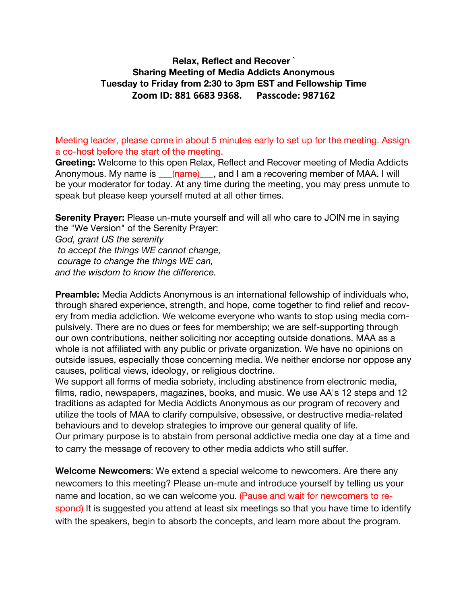## **Relax, Reflect and Recover ` Sharing Meeting of Media Addicts Anonymous Tuesday to Friday from 2:30 to 3pm EST and Fellowship Time Zoom ID: 881 6683 9368. Passcode: 987162**

Meeting leader, please come in about 5 minutes early to set up for the meeting. Assign a co-host before the start of the meeting.

**Greeting:** Welcome to this open Relax, Reflect and Recover meeting of Media Addicts Anonymous. My name is \_\_\_(name)\_\_\_, and I am a recovering member of MAA. I will be your moderator for today. At any time during the meeting, you may press unmute to speak but please keep yourself muted at all other times.

**Serenity Prayer:** Please un-mute yourself and will all who care to JOIN me in saying the "We Version" of the Serenity Prayer:

*God, grant US the serenity to accept the things WE cannot change, courage to change the things WE can, and the wisdom to know the difference.* 

**Preamble:** Media Addicts Anonymous is an international fellowship of individuals who, through shared experience, strength, and hope, come together to find relief and recovery from media addiction. We welcome everyone who wants to stop using media compulsively. There are no dues or fees for membership; we are self-supporting through our own contributions, neither soliciting nor accepting outside donations. MAA as a whole is not affiliated with any public or private organization. We have no opinions on outside issues, especially those concerning media. We neither endorse nor oppose any causes, political views, ideology, or religious doctrine.

We support all forms of media sobriety, including abstinence from electronic media, films, radio, newspapers, magazines, books, and music. We use AA's 12 steps and 12 traditions as adapted for Media Addicts Anonymous as our program of recovery and utilize the tools of MAA to clarify compulsive, obsessive, or destructive media-related behaviours and to develop strategies to improve our general quality of life. Our primary purpose is to abstain from personal addictive media one day at a time and to carry the message of recovery to other media addicts who still suffer.

**Welcome Newcomers**: We extend a special welcome to newcomers. Are there any newcomers to this meeting? Please un-mute and introduce yourself by telling us your name and location, so we can welcome you. (Pause and wait for newcomers to respond) It is suggested you attend at least six meetings so that you have time to identify with the speakers, begin to absorb the concepts, and learn more about the program.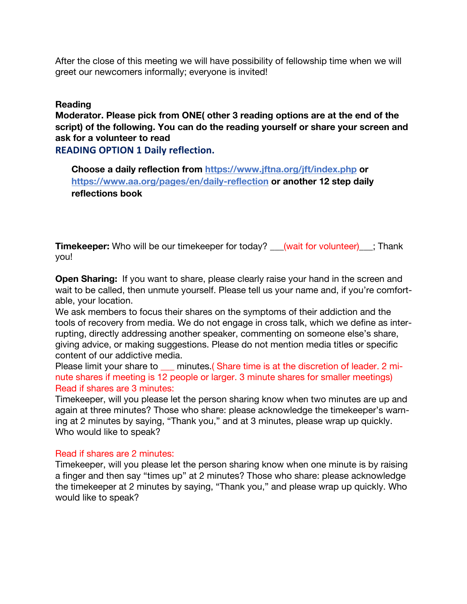After the close of this meeting we will have possibility of fellowship time when we will greet our newcomers informally; everyone is invited!

### **Reading**

**Moderator. Please pick from ONE( other 3 reading options are at the end of the script) of the following. You can do the reading yourself or share your screen and ask for a volunteer to read**

## **READING OPTION 1 Daily reflection.**

**Choose a daily reflection from https://www.jftna.org/jft/index.php or https://www.aa.org/pages/en/daily-reflection or another 12 step daily reflections book**

**Timekeeper:** Who will be our timekeeper for today? <u>(wait for volunteer);</u> Thank you!

**Open Sharing:** If you want to share, please clearly raise your hand in the screen and wait to be called, then unmute yourself. Please tell us your name and, if you're comfortable, your location.

We ask members to focus their shares on the symptoms of their addiction and the tools of recovery from media. We do not engage in cross talk, which we define as interrupting, directly addressing another speaker, commenting on someone else's share, giving advice, or making suggestions. Please do not mention media titles or specific content of our addictive media.

Please limit your share to \_\_\_ minutes.( Share time is at the discretion of leader. 2 minute shares if meeting is 12 people or larger. 3 minute shares for smaller meetings) Read if shares are 3 minutes:

Timekeeper, will you please let the person sharing know when two minutes are up and again at three minutes? Those who share: please acknowledge the timekeeper's warning at 2 minutes by saying, "Thank you," and at 3 minutes, please wrap up quickly. Who would like to speak?

### Read if shares are 2 minutes:

Timekeeper, will you please let the person sharing know when one minute is by raising a finger and then say "times up" at 2 minutes? Those who share: please acknowledge the timekeeper at 2 minutes by saying, "Thank you," and please wrap up quickly. Who would like to speak?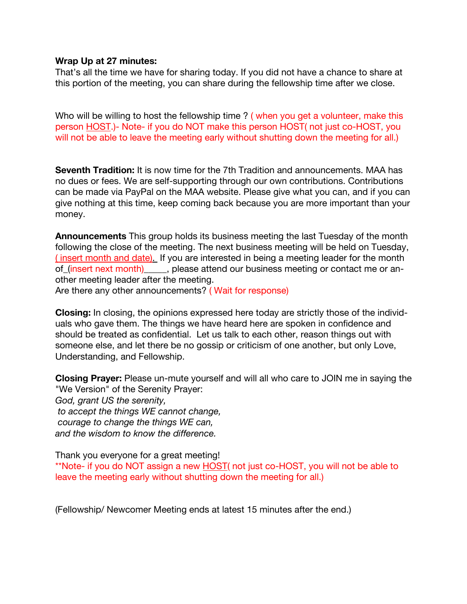#### **Wrap Up at 27 minutes:**

That's all the time we have for sharing today. If you did not have a chance to share at this portion of the meeting, you can share during the fellowship time after we close.

Who will be willing to host the fellowship time ? (when you get a volunteer, make this person HOST.)- Note- if you do NOT make this person HOST( not just co-HOST, you will not be able to leave the meeting early without shutting down the meeting for all.)

**Seventh Tradition:** It is now time for the 7th Tradition and announcements. MAA has no dues or fees. We are self-supporting through our own contributions. Contributions can be made via PayPal on the MAA website. Please give what you can, and if you can give nothing at this time, keep coming back because you are more important than your money.

**Announcements** This group holds its business meeting the last Tuesday of the month following the close of the meeting. The next business meeting will be held on Tuesday, ( insert month and date). If you are interested in being a meeting leader for the month of\_(insert next month)\_\_\_\_\_, please attend our business meeting or contact me or another meeting leader after the meeting.

Are there any other announcements? ( Wait for response)

**Closing:** In closing, the opinions expressed here today are strictly those of the individuals who gave them. The things we have heard here are spoken in confidence and should be treated as confidential. Let us talk to each other, reason things out with someone else, and let there be no gossip or criticism of one another, but only Love, Understanding, and Fellowship.

**Closing Prayer:** Please un-mute yourself and will all who care to JOIN me in saying the "We Version" of the Serenity Prayer: *God, grant US the serenity, to accept the things WE cannot change, courage to change the things WE can, and the wisdom to know the difference.* 

Thank you everyone for a great meeting!

\*\*Note- if you do NOT assign a new HOST( not just co-HOST, you will not be able to leave the meeting early without shutting down the meeting for all.)

(Fellowship/ Newcomer Meeting ends at latest 15 minutes after the end.)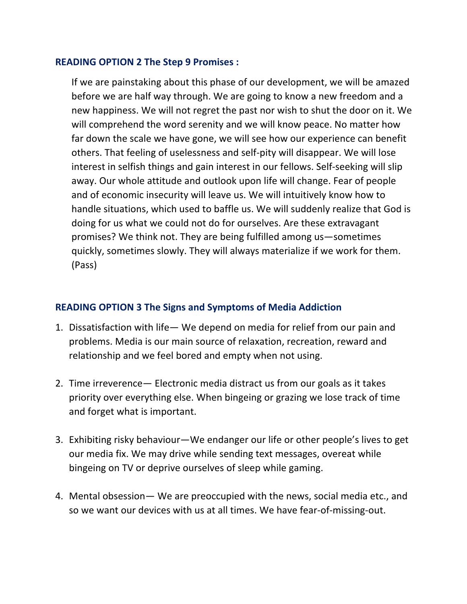## **READING OPTION 2 The Step 9 Promises :**

If we are painstaking about this phase of our development, we will be amazed before we are half way through. We are going to know a new freedom and a new happiness. We will not regret the past nor wish to shut the door on it. We will comprehend the word serenity and we will know peace. No matter how far down the scale we have gone, we will see how our experience can benefit others. That feeling of uselessness and self-pity will disappear. We will lose interest in selfish things and gain interest in our fellows. Self-seeking will slip away. Our whole attitude and outlook upon life will change. Fear of people and of economic insecurity will leave us. We will intuitively know how to handle situations, which used to baffle us. We will suddenly realize that God is doing for us what we could not do for ourselves. Are these extravagant promises? We think not. They are being fulfilled among us—sometimes quickly, sometimes slowly. They will always materialize if we work for them. (Pass)

# **READING OPTION 3 The Signs and Symptoms of Media Addiction**

- 1. Dissatisfaction with life— We depend on media for relief from our pain and problems. Media is our main source of relaxation, recreation, reward and relationship and we feel bored and empty when not using.
- 2. Time irreverence— Electronic media distract us from our goals as it takes priority over everything else. When bingeing or grazing we lose track of time and forget what is important.
- 3. Exhibiting risky behaviour—We endanger our life or other people's lives to get our media fix. We may drive while sending text messages, overeat while bingeing on TV or deprive ourselves of sleep while gaming.
- 4. Mental obsession— We are preoccupied with the news, social media etc., and so we want our devices with us at all times. We have fear-of-missing-out.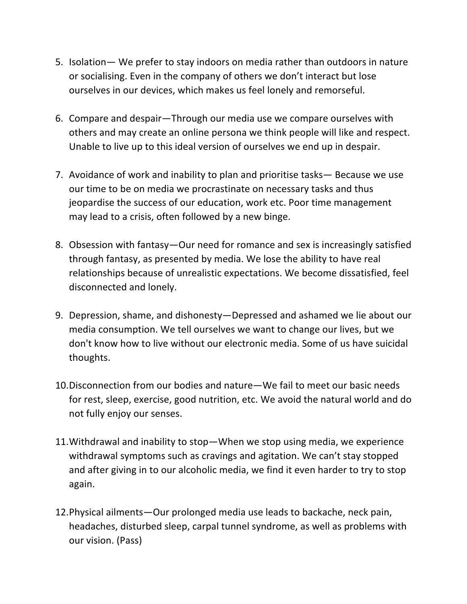- 5. Isolation— We prefer to stay indoors on media rather than outdoors in nature or socialising. Even in the company of others we don't interact but lose ourselves in our devices, which makes us feel lonely and remorseful.
- 6. Compare and despair—Through our media use we compare ourselves with others and may create an online persona we think people will like and respect. Unable to live up to this ideal version of ourselves we end up in despair.
- 7. Avoidance of work and inability to plan and prioritise tasks— Because we use our time to be on media we procrastinate on necessary tasks and thus jeopardise the success of our education, work etc. Poor time management may lead to a crisis, often followed by a new binge.
- 8. Obsession with fantasy—Our need for romance and sex is increasingly satisfied through fantasy, as presented by media. We lose the ability to have real relationships because of unrealistic expectations. We become dissatisfied, feel disconnected and lonely.
- 9. Depression, shame, and dishonesty—Depressed and ashamed we lie about our media consumption. We tell ourselves we want to change our lives, but we don't know how to live without our electronic media. Some of us have suicidal thoughts.
- 10.Disconnection from our bodies and nature—We fail to meet our basic needs for rest, sleep, exercise, good nutrition, etc. We avoid the natural world and do not fully enjoy our senses.
- 11.Withdrawal and inability to stop—When we stop using media, we experience withdrawal symptoms such as cravings and agitation. We can't stay stopped and after giving in to our alcoholic media, we find it even harder to try to stop again.
- 12.Physical ailments—Our prolonged media use leads to backache, neck pain, headaches, disturbed sleep, carpal tunnel syndrome, as well as problems with our vision. (Pass)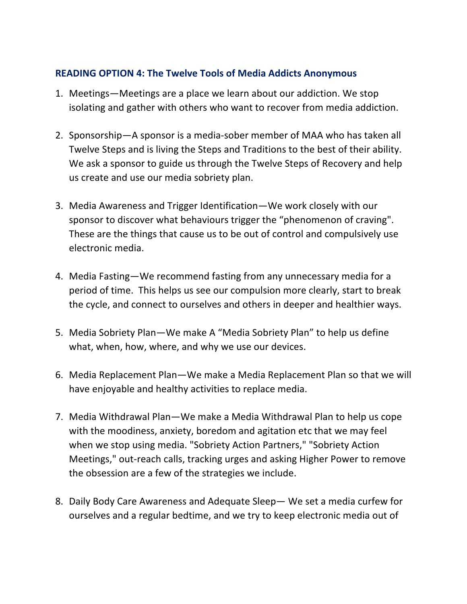# **READING OPTION 4: The Twelve Tools of Media Addicts Anonymous**

- 1. Meetings—Meetings are a place we learn about our addiction. We stop isolating and gather with others who want to recover from media addiction.
- 2. Sponsorship—A sponsor is a media-sober member of MAA who has taken all Twelve Steps and is living the Steps and Traditions to the best of their ability. We ask a sponsor to guide us through the Twelve Steps of Recovery and help us create and use our media sobriety plan.
- 3. Media Awareness and Trigger Identification—We work closely with our sponsor to discover what behaviours trigger the "phenomenon of craving". These are the things that cause us to be out of control and compulsively use electronic media.
- 4. Media Fasting—We recommend fasting from any unnecessary media for a period of time. This helps us see our compulsion more clearly, start to break the cycle, and connect to ourselves and others in deeper and healthier ways.
- 5. Media Sobriety Plan—We make A "Media Sobriety Plan" to help us define what, when, how, where, and why we use our devices.
- 6. Media Replacement Plan—We make a Media Replacement Plan so that we will have enjoyable and healthy activities to replace media.
- 7. Media Withdrawal Plan—We make a Media Withdrawal Plan to help us cope with the moodiness, anxiety, boredom and agitation etc that we may feel when we stop using media. "Sobriety Action Partners," "Sobriety Action Meetings," out-reach calls, tracking urges and asking Higher Power to remove the obsession are a few of the strategies we include.
- 8. Daily Body Care Awareness and Adequate Sleep— We set a media curfew for ourselves and a regular bedtime, and we try to keep electronic media out of